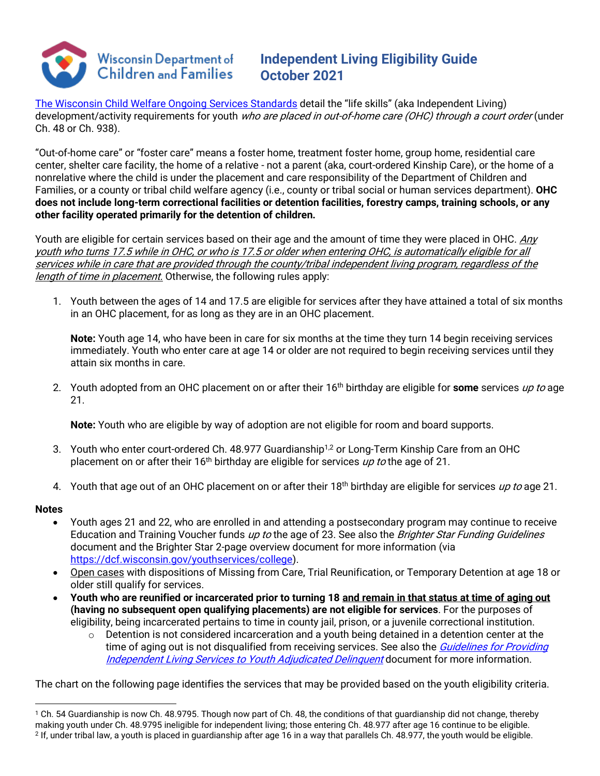

## **Independent Living Eligibility Guide October 2021**

[The Wisconsin Child Welfare Ongoing Services Standards](https://dcf.wisconsin.gov/files/cwportal/policy/pdf/ongoing-services-standards.pdf) detail the "life skills" (aka Independent Living) development/activity requirements for youth who are placed in out-of-home care (OHC) through a court order (under Ch. 48 or Ch. 938).

"Out-of-home care" or "foster care" means a foster home, treatment foster home, group home, residential care center, shelter care facility, the home of a relative - not a parent (aka, court-ordered Kinship Care), or the home of a nonrelative where the child is under the placement and care responsibility of the Department of Children and Families, or a county or tribal child welfare agency (i.e., county or tribal social or human services department). **OHC does not include long-term correctional facilities or detention facilities, forestry camps, training schools, or any other facility operated primarily for the detention of children.**

Youth are eligible for certain services based on their age and the amount of time they were placed in OHC. Any youth who turns 17.5 while in OHC, or who is 17.5 or older when entering OHC, is automatically eligible for all services while in care that are provided through the county/tribal independent living program, regardless of the length of time in placement. Otherwise, the following rules apply:

1. Youth between the ages of 14 and 17.5 are eligible for services after they have attained a total of six months in an OHC placement, for as long as they are in an OHC placement.

**Note:** Youth age 14, who have been in care for six months at the time they turn 14 begin receiving services immediately. Youth who enter care at age 14 or older are not required to begin receiving services until they attain six months in care.

2. Youth adopted from an OHC placement on or after their 16<sup>th</sup> birthday are eligible for **some** services up to age 21.

**Note:** Youth who are eligible by way of adoption are not eligible for room and board supports.

- 3. Youth who enter court-ordered Ch. 48.977 Guardianship<sup>1,2</sup> or Long-Term Kinship Care from an OHC placement on or after their 16<sup>th</sup> birthday are eligible for services up to the age of 21.
- 4. Youth that age out of an OHC placement on or after their 18<sup>th</sup> birthday are eligible for services up to age 21.

## **Notes**

- Youth ages 21 and 22, who are enrolled in and attending a postsecondary program may continue to receive Education and Training Voucher funds up to the age of 23. See also the Brighter Star Funding Guidelines document and the Brighter Star 2-page overview document for more information (via [https://dcf.wisconsin.gov/youthservices/college\)](https://dcf.wisconsin.gov/youthservices/college).
- Open cases with dispositions of Missing from Care, Trial Reunification, or Temporary Detention at age 18 or older still qualify for services.
- **Youth who are reunified or incarcerated prior to turning 18 and remain in that status at time of aging out (having no subsequent open qualifying placements) are not eligible for services**. For the purposes of eligibility, being incarcerated pertains to time in county jail, prison, or a juvenile correctional institution.
	- o Detention is not considered incarceration and a youth being detained in a detention center at the time of aging out is not disqualified from receiving services. See also the *Guidelines for Providing* Independent Living Services to Youth Adjudicated Delinguent document for more information.

The chart on the following page identifies the services that may be provided based on the youth eligibility criteria.

<sup>1</sup> Ch. 54 Guardianship is now Ch. 48.9795. Though now part of Ch. 48, the conditions of that guardianship did not change, thereby making youth under Ch. 48.9795 ineligible for independent living; those entering Ch. 48.977 after age 16 continue to be eligible.  $2$  If, under tribal law, a youth is placed in guardianship after age 16 in a way that parallels Ch. 48.977, the youth would be eligible.